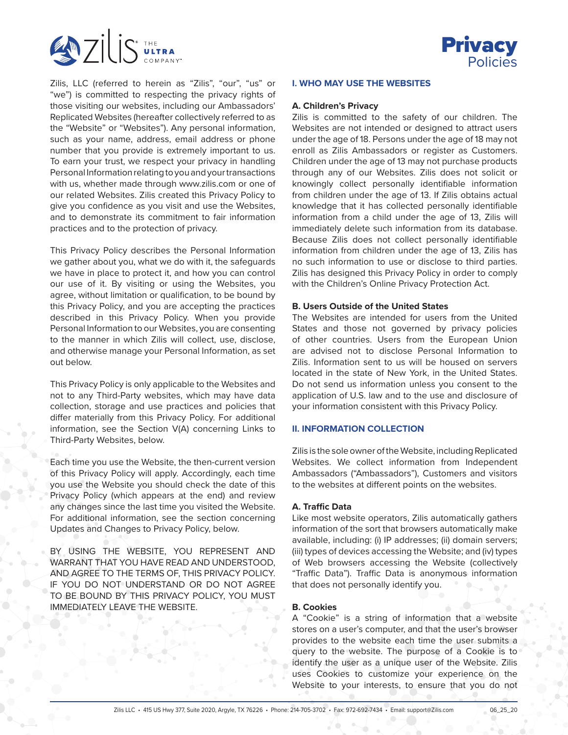



Zilis, LLC (referred to herein as "Zilis", "our", "us" or "we") is committed to respecting the privacy rights of those visiting our websites, including our Ambassadors' Replicated Websites (hereafter collectively referred to as the "Website" or "Websites"). Any personal information, such as your name, address, email address or phone number that you provide is extremely important to us. To earn your trust, we respect your privacy in handling Personal Information relating to you and your transactions with us, whether made through www.zilis.com or one of our related Websites. Zilis created this Privacy Policy to give you confidence as you visit and use the Websites, and to demonstrate its commitment to fair information practices and to the protection of privacy.

This Privacy Policy describes the Personal Information we gather about you, what we do with it, the safeguards we have in place to protect it, and how you can control our use of it. By visiting or using the Websites, you agree, without limitation or qualification, to be bound by this Privacy Policy, and you are accepting the practices described in this Privacy Policy. When you provide Personal Information to our Websites, you are consenting to the manner in which Zilis will collect, use, disclose, and otherwise manage your Personal Information, as set out below.

This Privacy Policy is only applicable to the Websites and not to any Third-Party websites, which may have data collection, storage and use practices and policies that differ materially from this Privacy Policy. For additional information, see the Section V(A) concerning Links to Third-Party Websites, below.

Each time you use the Website, the then-current version of this Privacy Policy will apply. Accordingly, each time you use the Website you should check the date of this Privacy Policy (which appears at the end) and review any changes since the last time you visited the Website. For additional information, see the section concerning Updates and Changes to Privacy Policy, below.

BY USING THE WEBSITE, YOU REPRESENT AND WARRANT THAT YOU HAVE READ AND UNDERSTOOD, AND AGREE TO THE TERMS OF, THIS PRIVACY POLICY. IF YOU DO NOT UNDERSTAND OR DO NOT AGREE TO BE BOUND BY THIS PRIVACY POLICY, YOU MUST IMMEDIATELY LEAVE THE WEBSITE.

#### **I. WHO MAY USE THE WEBSITES**

## **A. Children's Privacy**

Zilis is committed to the safety of our children. The Websites are not intended or designed to attract users under the age of 18. Persons under the age of 18 may not enroll as Zilis Ambassadors or register as Customers. Children under the age of 13 may not purchase products through any of our Websites. Zilis does not solicit or knowingly collect personally identifiable information from children under the age of 13. If Zilis obtains actual knowledge that it has collected personally identifiable information from a child under the age of 13, Zilis will immediately delete such information from its database. Because Zilis does not collect personally identifiable information from children under the age of 13, Zilis has no such information to use or disclose to third parties. Zilis has designed this Privacy Policy in order to comply with the Children's Online Privacy Protection Act.

## **B. Users Outside of the United States**

The Websites are intended for users from the United States and those not governed by privacy policies of other countries. Users from the European Union are advised not to disclose Personal Information to Zilis. Information sent to us will be housed on servers located in the state of New York, in the United States. Do not send us information unless you consent to the application of U.S. law and to the use and disclosure of your information consistent with this Privacy Policy.

## **II. INFORMATION COLLECTION**

Zilis is the sole owner of the Website, including Replicated Websites. We collect information from Independent Ambassadors ("Ambassadors"), Customers and visitors to the websites at different points on the websites.

#### **A. Traffic Data**

Like most website operators, Zilis automatically gathers information of the sort that browsers automatically make available, including: (i) IP addresses; (ii) domain servers; (iii) types of devices accessing the Website; and (iv) types of Web browsers accessing the Website (collectively "Traffic Data"). Traffic Data is anonymous information that does not personally identify you.

#### **B. Cookies**

A "Cookie" is a string of information that a website stores on a user's computer, and that the user's browser provides to the website each time the user submits a query to the website. The purpose of a Cookie is to identify the user as a unique user of the Website. Zilis uses Cookies to customize your experience on the Website to your interests, to ensure that you do not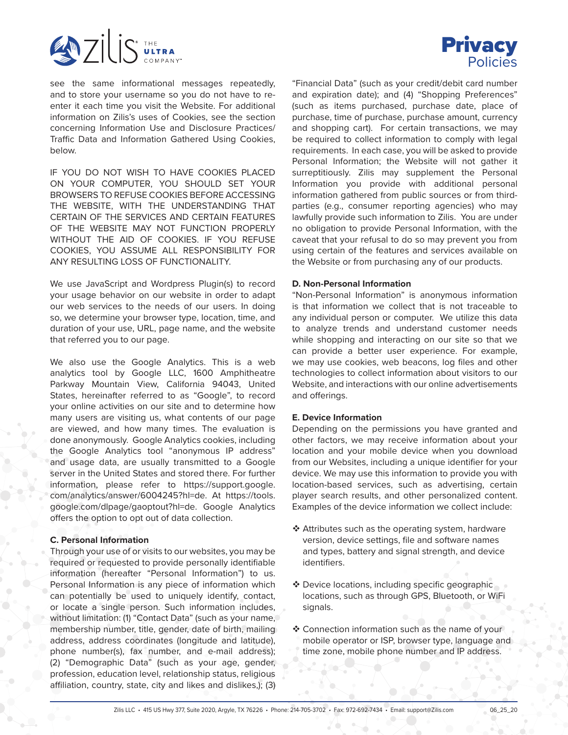



see the same informational messages repeatedly, and to store your username so you do not have to reenter it each time you visit the Website. For additional information on Zilis's uses of Cookies, see the section concerning Information Use and Disclosure Practices/ Traffic Data and Information Gathered Using Cookies, below.

IF YOU DO NOT WISH TO HAVE COOKIES PLACED ON YOUR COMPUTER, YOU SHOULD SET YOUR BROWSERS TO REFUSE COOKIES BEFORE ACCESSING THE WEBSITE, WITH THE UNDERSTANDING THAT CERTAIN OF THE SERVICES AND CERTAIN FEATURES OF THE WEBSITE MAY NOT FUNCTION PROPERLY WITHOUT THE AID OF COOKIES. IF YOU REFUSE COOKIES, YOU ASSUME ALL RESPONSIBILITY FOR ANY RESULTING LOSS OF FUNCTIONALITY.

We use JavaScript and Wordpress Plugin(s) to record your usage behavior on our website in order to adapt our web services to the needs of our users. In doing so, we determine your browser type, location, time, and duration of your use, URL, page name, and the website that referred you to our page.

We also use the Google Analytics. This is a web analytics tool by Google LLC, 1600 Amphitheatre Parkway Mountain View, California 94043, United States, hereinafter referred to as "Google", to record your online activities on our site and to determine how many users are visiting us, what contents of our page are viewed, and how many times. The evaluation is done anonymously. Google Analytics cookies, including the Google Analytics tool "anonymous IP address" and usage data, are usually transmitted to a Google server in the United States and stored there. For further information, please refer to https://support.google. com/analytics/answer/6004245?hl=de. At https://tools. google.com/dlpage/gaoptout?hl=de. Google Analytics offers the option to opt out of data collection.

#### **C. Personal Information**

Through your use of or visits to our websites, you may be required or requested to provide personally identifiable information (hereafter "Personal Information") to us. Personal Information is any piece of information which can potentially be used to uniquely identify, contact, or locate a single person. Such information includes, without limitation: (1) "Contact Data" (such as your name, membership number, title, gender, date of birth, mailing address, address coordinates (longitude and latitude), phone number(s), fax number, and e-mail address); (2) "Demographic Data" (such as your age, gender, profession, education level, relationship status, religious affiliation, country, state, city and likes and dislikes,); (3)

"Financial Data" (such as your credit/debit card number and expiration date); and (4) "Shopping Preferences" (such as items purchased, purchase date, place of purchase, time of purchase, purchase amount, currency and shopping cart). For certain transactions, we may be required to collect information to comply with legal requirements. In each case, you will be asked to provide Personal Information; the Website will not gather it surreptitiously. Zilis may supplement the Personal Information you provide with additional personal information gathered from public sources or from thirdparties (e.g., consumer reporting agencies) who may lawfully provide such information to Zilis. You are under no obligation to provide Personal Information, with the caveat that your refusal to do so may prevent you from using certain of the features and services available on the Website or from purchasing any of our products.

#### **D. Non-Personal Information**

"Non-Personal Information" is anonymous information is that information we collect that is not traceable to any individual person or computer. We utilize this data to analyze trends and understand customer needs while shopping and interacting on our site so that we can provide a better user experience. For example, we may use cookies, web beacons, log files and other technologies to collect information about visitors to our Website, and interactions with our online advertisements and offerings.

#### **E. Device Information**

Depending on the permissions you have granted and other factors, we may receive information about your location and your mobile device when you download from our Websites, including a unique identifier for your device. We may use this information to provide you with location-based services, such as advertising, certain player search results, and other personalized content. Examples of the device information we collect include:

- $\triangleleft$  Attributes such as the operating system, hardware version, device settings, file and software names and types, battery and signal strength, and device identifiers.
- $\clubsuit$  Device locations, including specific geographic locations, such as through GPS, Bluetooth, or WiFi signals.
- Connection information such as the name of your mobile operator or ISP, browser type, language and time zone, mobile phone number and IP address.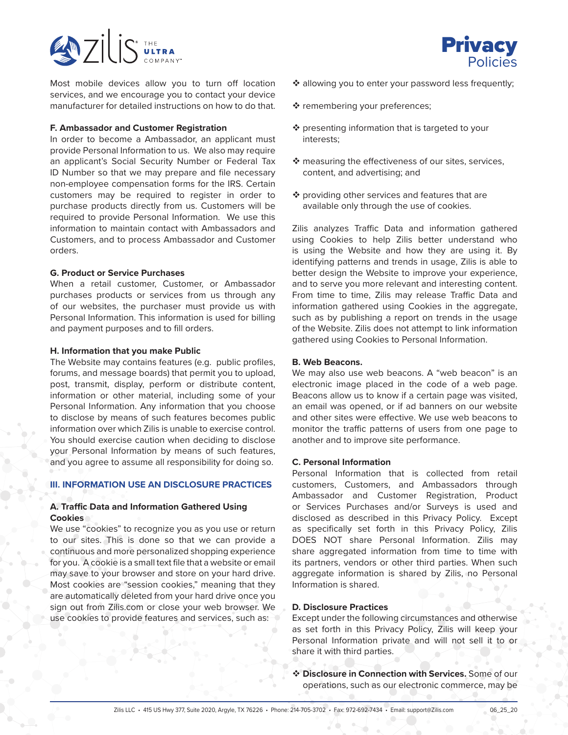

Most mobile devices allow you to turn off location services, and we encourage you to contact your device manufacturer for detailed instructions on how to do that.

#### **F. Ambassador and Customer Registration**

In order to become a Ambassador, an applicant must provide Personal Information to us. We also may require an applicant's Social Security Number or Federal Tax ID Number so that we may prepare and file necessary non-employee compensation forms for the IRS. Certain customers may be required to register in order to purchase products directly from us. Customers will be required to provide Personal Information. We use this information to maintain contact with Ambassadors and Customers, and to process Ambassador and Customer orders.

#### **G. Product or Service Purchases**

When a retail customer, Customer, or Ambassador purchases products or services from us through any of our websites, the purchaser must provide us with Personal Information. This information is used for billing and payment purposes and to fill orders.

#### **H. Information that you make Public**

The Website may contains features (e.g. public profiles, forums, and message boards) that permit you to upload, post, transmit, display, perform or distribute content, information or other material, including some of your Personal Information. Any information that you choose to disclose by means of such features becomes public information over which Zilis is unable to exercise control. You should exercise caution when deciding to disclose your Personal Information by means of such features, and you agree to assume all responsibility for doing so.

## **III. INFORMATION USE AN DISCLOSURE PRACTICES**

## **A. Traffic Data and Information Gathered Using Cookies**

We use "cookies" to recognize you as you use or return to our sites. This is done so that we can provide a continuous and more personalized shopping experience for you. A cookie is a small text file that a website or email may save to your browser and store on your hard drive. Most cookies are "session cookies," meaning that they are automatically deleted from your hard drive once you sign out from Zilis.com or close your web browser. We use cookies to provide features and services, such as:



- ❖ allowing you to enter your password less frequently;
- \* remembering your preferences;
- $\cdot$  presenting information that is targeted to your interests;
- $\cdot$  measuring the effectiveness of our sites, services, content, and advertising; and
- $\cdot$  providing other services and features that are available only through the use of cookies.

Zilis analyzes Traffic Data and information gathered using Cookies to help Zilis better understand who is using the Website and how they are using it. By identifying patterns and trends in usage, Zilis is able to better design the Website to improve your experience, and to serve you more relevant and interesting content. From time to time, Zilis may release Traffic Data and information gathered using Cookies in the aggregate, such as by publishing a report on trends in the usage of the Website. Zilis does not attempt to link information gathered using Cookies to Personal Information.

#### **B. Web Beacons.**

We may also use web beacons. A "web beacon" is an electronic image placed in the code of a web page. Beacons allow us to know if a certain page was visited, an email was opened, or if ad banners on our website and other sites were effective. We use web beacons to monitor the traffic patterns of users from one page to another and to improve site performance.

#### **C. Personal Information**

Personal Information that is collected from retail customers, Customers, and Ambassadors through Ambassador and Customer Registration, Product or Services Purchases and/or Surveys is used and disclosed as described in this Privacy Policy. Except as specifically set forth in this Privacy Policy, Zilis DOES NOT share Personal Information. Zilis may share aggregated information from time to time with its partners, vendors or other third parties. When such aggregate information is shared by Zilis, no Personal Information is shared.

#### **D. Disclosure Practices**

Except under the following circumstances and otherwise as set forth in this Privacy Policy, Zilis will keep your Personal Information private and will not sell it to or share it with third parties.

 **Disclosure in Connection with Services.** Some of our operations, such as our electronic commerce, may be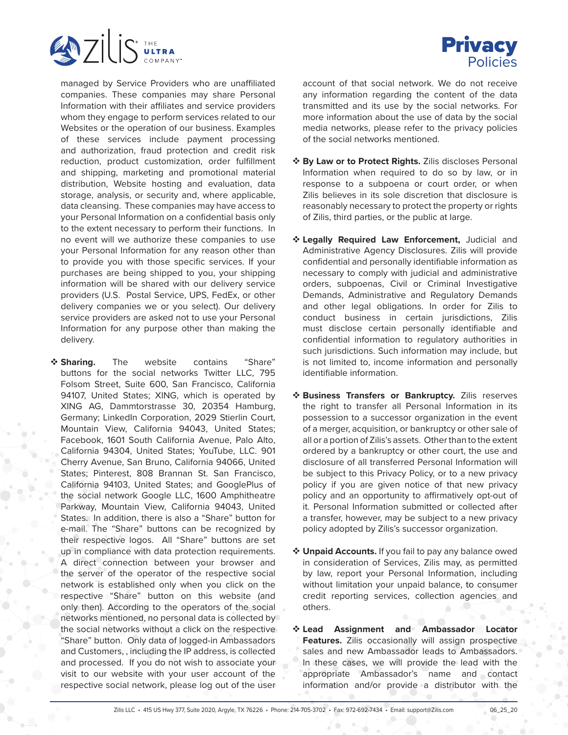

managed by Service Providers who are unaffiliated companies. These companies may share Personal Information with their affiliates and service providers whom they engage to perform services related to our Websites or the operation of our business. Examples of these services include payment processing and authorization, fraud protection and credit risk reduction, product customization, order fulfillment and shipping, marketing and promotional material distribution, Website hosting and evaluation, data storage, analysis, or security and, where applicable, data cleansing. These companies may have access to your Personal Information on a confidential basis only to the extent necessary to perform their functions. In no event will we authorize these companies to use your Personal Information for any reason other than to provide you with those specific services. If your purchases are being shipped to you, your shipping information will be shared with our delivery service providers (U.S. Postal Service, UPS, FedEx, or other delivery companies we or you select). Our delivery service providers are asked not to use your Personal Information for any purpose other than making the delivery.

 **Sharing.** The website contains "Share" buttons for the social networks Twitter LLC, 795 Folsom Street, Suite 600, San Francisco, California 94107, United States; XING, which is operated by XING AG, Dammtorstrasse 30, 20354 Hamburg, Germany; LinkedIn Corporation, 2029 Stierlin Court, Mountain View, California 94043, United States; Facebook, 1601 South California Avenue, Palo Alto, California 94304, United States; YouTube, LLC. 901 Cherry Avenue, San Bruno, California 94066, United States; Pinterest, 808 Brannan St. San Francisco, California 94103, United States; and GooglePlus of the social network Google LLC, 1600 Amphitheatre Parkway, Mountain View, California 94043, United States. In addition, there is also a "Share" button for e-mail. The "Share" buttons can be recognized by their respective logos. All "Share" buttons are set up in compliance with data protection requirements. A direct connection between your browser and the server of the operator of the respective social network is established only when you click on the respective "Share" button on this website (and only then). According to the operators of the social networks mentioned, no personal data is collected by the social networks without a click on the respective "Share" button. Only data of logged-in Ambassadors and Customers, , including the IP address, is collected and processed. If you do not wish to associate your visit to our website with your user account of the respective social network, please log out of the user

account of that social network. We do not receive any information regarding the content of the data transmitted and its use by the social networks. For more information about the use of data by the social media networks, please refer to the privacy policies of the social networks mentioned.

- **By Law or to Protect Rights.** Zilis discloses Personal Information when required to do so by law, or in response to a subpoena or court order, or when Zilis believes in its sole discretion that disclosure is reasonably necessary to protect the property or rights of Zilis, third parties, or the public at large.
- **Legally Required Law Enforcement,** Judicial and Administrative Agency Disclosures. Zilis will provide confidential and personally identifiable information as necessary to comply with judicial and administrative orders, subpoenas, Civil or Criminal Investigative Demands, Administrative and Regulatory Demands and other legal obligations. In order for Zilis to conduct business in certain jurisdictions, Zilis must disclose certain personally identifiable and confidential information to regulatory authorities in such jurisdictions. Such information may include, but is not limited to, income information and personally identifiable information.
- **Business Transfers or Bankruptcy.** Zilis reserves the right to transfer all Personal Information in its possession to a successor organization in the event of a merger, acquisition, or bankruptcy or other sale of all or a portion of Zilis's assets. Other than to the extent ordered by a bankruptcy or other court, the use and disclosure of all transferred Personal Information will be subject to this Privacy Policy, or to a new privacy policy if you are given notice of that new privacy policy and an opportunity to affirmatively opt-out of it. Personal Information submitted or collected after a transfer, however, may be subject to a new privacy policy adopted by Zilis's successor organization.
- **Unpaid Accounts.** If you fail to pay any balance owed in consideration of Services, Zilis may, as permitted by law, report your Personal Information, including without limitation your unpaid balance, to consumer credit reporting services, collection agencies and others.
- **Lead Assignment and Ambassador Locator Features.** Zilis occasionally will assign prospective sales and new Ambassador leads to Ambassadors. In these cases, we will provide the lead with the appropriate Ambassador's name and contact information and/or provide a distributor with the

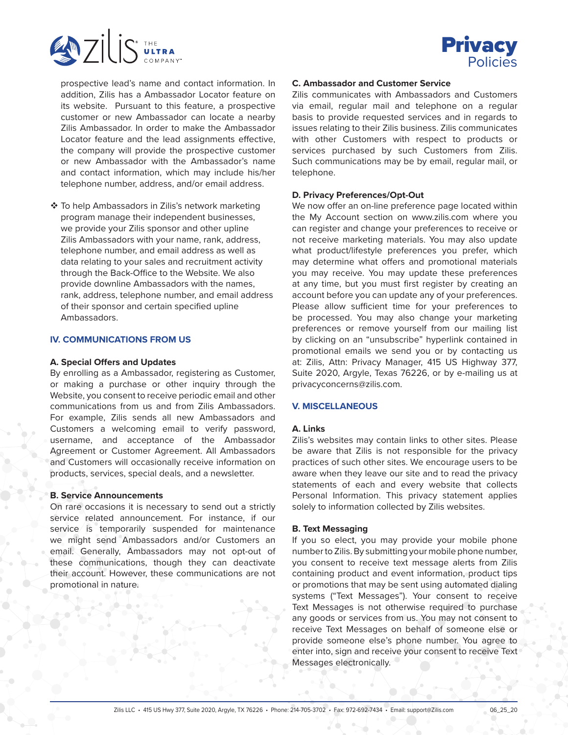



prospective lead's name and contact information. In addition, Zilis has a Ambassador Locator feature on its website. Pursuant to this feature, a prospective customer or new Ambassador can locate a nearby Zilis Ambassador. In order to make the Ambassador Locator feature and the lead assignments effective, the company will provide the prospective customer or new Ambassador with the Ambassador's name and contact information, which may include his/her telephone number, address, and/or email address.

❖ To help Ambassadors in Zilis's network marketing program manage their independent businesses, we provide your Zilis sponsor and other upline Zilis Ambassadors with your name, rank, address, telephone number, and email address as well as data relating to your sales and recruitment activity through the Back-Office to the Website. We also provide downline Ambassadors with the names, rank, address, telephone number, and email address of their sponsor and certain specified upline Ambassadors.

#### **IV. COMMUNICATIONS FROM US**

#### **A. Special Offers and Updates**

By enrolling as a Ambassador, registering as Customer, or making a purchase or other inquiry through the Website, you consent to receive periodic email and other communications from us and from Zilis Ambassadors. For example, Zilis sends all new Ambassadors and Customers a welcoming email to verify password, username, and acceptance of the Ambassador Agreement or Customer Agreement. All Ambassadors and Customers will occasionally receive information on products, services, special deals, and a newsletter.

#### **B. Service Announcements**

On rare occasions it is necessary to send out a strictly service related announcement. For instance, if our service is temporarily suspended for maintenance we might send Ambassadors and/or Customers an email. Generally, Ambassadors may not opt-out of these communications, though they can deactivate their account. However, these communications are not promotional in nature.

## **C. Ambassador and Customer Service**

Zilis communicates with Ambassadors and Customers via email, regular mail and telephone on a regular basis to provide requested services and in regards to issues relating to their Zilis business. Zilis communicates with other Customers with respect to products or services purchased by such Customers from Zilis. Such communications may be by email, regular mail, or telephone.

#### **D. Privacy Preferences/Opt-Out**

We now offer an on-line preference page located within the My Account section on www.zilis.com where you can register and change your preferences to receive or not receive marketing materials. You may also update what product/lifestyle preferences you prefer, which may determine what offers and promotional materials you may receive. You may update these preferences at any time, but you must first register by creating an account before you can update any of your preferences. Please allow sufficient time for your preferences to be processed. You may also change your marketing preferences or remove yourself from our mailing list by clicking on an "unsubscribe" hyperlink contained in promotional emails we send you or by contacting us at: Zilis, Attn: Privacy Manager, 415 US Highway 377, Suite 2020, Argyle, Texas 76226, or by e-mailing us at privacyconcerns@zilis.com.

#### **V. MISCELLANEOUS**

#### **A. Links**

Zilis's websites may contain links to other sites. Please be aware that Zilis is not responsible for the privacy practices of such other sites. We encourage users to be aware when they leave our site and to read the privacy statements of each and every website that collects Personal Information. This privacy statement applies solely to information collected by Zilis websites.

#### **B. Text Messaging**

If you so elect, you may provide your mobile phone number to Zilis. By submitting your mobile phone number, you consent to receive text message alerts from Zilis containing product and event information, product tips or promotions that may be sent using automated dialing systems ("Text Messages"). Your consent to receive Text Messages is not otherwise required to purchase any goods or services from us. You may not consent to receive Text Messages on behalf of someone else or provide someone else's phone number. You agree to enter into, sign and receive your consent to receive Text Messages electronically.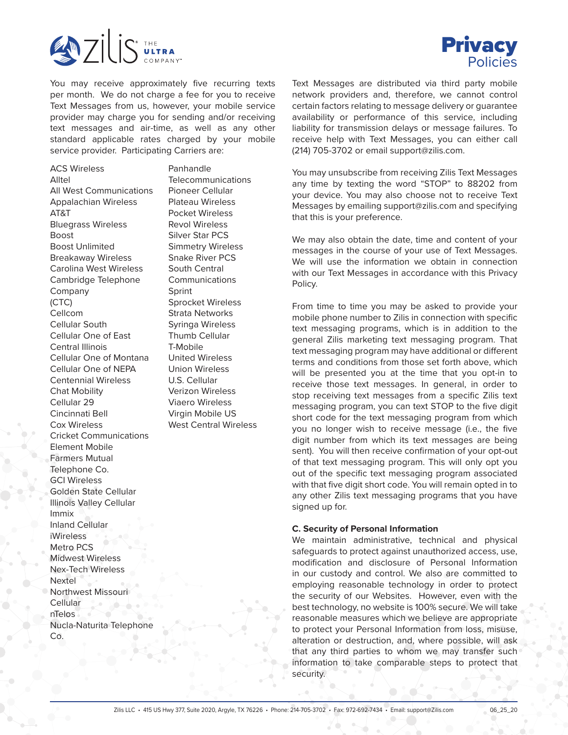

You may receive approximately five recurring texts per month. We do not charge a fee for you to receive Text Messages from us, however, your mobile service provider may charge you for sending and/or receiving text messages and air-time, as well as any other standard applicable rates charged by your mobile service provider. Participating Carriers are:

ACS Wireless Alltel All West Communications Appalachian Wireless AT&T Bluegrass Wireless Boost Boost Unlimited Breakaway Wireless Carolina West Wireless Cambridge Telephone Company (CTC) Cellcom Cellular South Cellular One of East Central Illinois Cellular One of Montana Cellular One of NEPA Centennial Wireless Chat Mobility Cellular 29 Cincinnati Bell Cox Wireless Cricket Communications Element Mobile Farmers Mutual Telephone Co. GCI Wireless Golden State Cellular Illinois Valley Cellular Immix Inland Cellular iWireless Metro PCS Midwest Wireless Nex-Tech Wireless Nextel Northwest Missouri Cellular nTelos Nucla-Naturita Telephone Co.

Panhandle **Telecommunications** Pioneer Cellular Plateau Wireless Pocket Wireless Revol Wireless Silver Star PCS Simmetry Wireless Snake River PCS South Central Communications Sprint Sprocket Wireless Strata Networks Syringa Wireless Thumb Cellular T-Mobile United Wireless Union Wireless U.S. Cellular Verizon Wireless Viaero Wireless Virgin Mobile US West Central Wireless



Text Messages are distributed via third party mobile network providers and, therefore, we cannot control certain factors relating to message delivery or guarantee availability or performance of this service, including liability for transmission delays or message failures. To receive help with Text Messages, you can either call (214) 705-3702 or email support@zilis.com.

You may unsubscribe from receiving Zilis Text Messages any time by texting the word "STOP" to 88202 from your device. You may also choose not to receive Text Messages by emailing support@zilis.com and specifying that this is your preference.

We may also obtain the date, time and content of your messages in the course of your use of Text Messages. We will use the information we obtain in connection with our Text Messages in accordance with this Privacy Policy.

From time to time you may be asked to provide your mobile phone number to Zilis in connection with specific text messaging programs, which is in addition to the general Zilis marketing text messaging program. That text messaging program may have additional or different terms and conditions from those set forth above, which will be presented you at the time that you opt-in to receive those text messages. In general, in order to stop receiving text messages from a specific Zilis text messaging program, you can text STOP to the five digit short code for the text messaging program from which you no longer wish to receive message (i.e., the five digit number from which its text messages are being sent). You will then receive confirmation of your opt-out of that text messaging program. This will only opt you out of the specific text messaging program associated with that five digit short code. You will remain opted in to any other Zilis text messaging programs that you have signed up for.

#### **C. Security of Personal Information**

We maintain administrative, technical and physical safeguards to protect against unauthorized access, use, modification and disclosure of Personal Information in our custody and control. We also are committed to employing reasonable technology in order to protect the security of our Websites. However, even with the best technology, no website is 100% secure. We will take reasonable measures which we believe are appropriate to protect your Personal Information from loss, misuse, alteration or destruction, and, where possible, will ask that any third parties to whom we may transfer such information to take comparable steps to protect that security.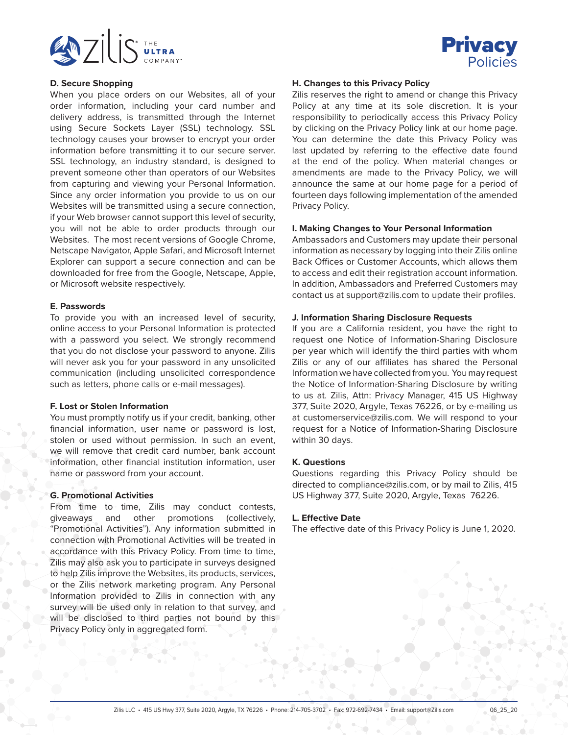



#### **D. Secure Shopping**

When you place orders on our Websites, all of your order information, including your card number and delivery address, is transmitted through the Internet using Secure Sockets Layer (SSL) technology. SSL technology causes your browser to encrypt your order information before transmitting it to our secure server. SSL technology, an industry standard, is designed to prevent someone other than operators of our Websites from capturing and viewing your Personal Information. Since any order information you provide to us on our Websites will be transmitted using a secure connection, if your Web browser cannot support this level of security, you will not be able to order products through our Websites. The most recent versions of Google Chrome, Netscape Navigator, Apple Safari, and Microsoft Internet Explorer can support a secure connection and can be downloaded for free from the Google, Netscape, Apple, or Microsoft website respectively.

#### **E. Passwords**

To provide you with an increased level of security, online access to your Personal Information is protected with a password you select. We strongly recommend that you do not disclose your password to anyone. Zilis will never ask you for your password in any unsolicited communication (including unsolicited correspondence such as letters, phone calls or e-mail messages).

#### **F. Lost or Stolen Information**

You must promptly notify us if your credit, banking, other financial information, user name or password is lost, stolen or used without permission. In such an event, we will remove that credit card number, bank account information, other financial institution information, user name or password from your account.

## **G. Promotional Activities**

From time to time, Zilis may conduct contests, giveaways and other promotions (collectively, "Promotional Activities"). Any information submitted in connection with Promotional Activities will be treated in accordance with this Privacy Policy. From time to time, Zilis may also ask you to participate in surveys designed to help Zilis improve the Websites, its products, services, or the Zilis network marketing program. Any Personal Information provided to Zilis in connection with any survey will be used only in relation to that survey, and will be disclosed to third parties not bound by this Privacy Policy only in aggregated form.

#### **H. Changes to this Privacy Policy**

Zilis reserves the right to amend or change this Privacy Policy at any time at its sole discretion. It is your responsibility to periodically access this Privacy Policy by clicking on the Privacy Policy link at our home page. You can determine the date this Privacy Policy was last updated by referring to the effective date found at the end of the policy. When material changes or amendments are made to the Privacy Policy, we will announce the same at our home page for a period of fourteen days following implementation of the amended Privacy Policy.

### **I. Making Changes to Your Personal Information**

Ambassadors and Customers may update their personal information as necessary by logging into their Zilis online Back Offices or Customer Accounts, which allows them to access and edit their registration account information. In addition, Ambassadors and Preferred Customers may contact us at support@zilis.com to update their profiles.

#### **J. Information Sharing Disclosure Requests**

If you are a California resident, you have the right to request one Notice of Information-Sharing Disclosure per year which will identify the third parties with whom Zilis or any of our affiliates has shared the Personal Information we have collected from you. You may request the Notice of Information-Sharing Disclosure by writing to us at. Zilis, Attn: Privacy Manager, 415 US Highway 377, Suite 2020, Argyle, Texas 76226, or by e-mailing us at customerservice@zilis.com. We will respond to your request for a Notice of Information-Sharing Disclosure within 30 days.

#### **K. Questions**

Questions regarding this Privacy Policy should be directed to compliance@zilis.com, or by mail to Zilis, 415 US Highway 377, Suite 2020, Argyle, Texas 76226.

#### **L. Effective Date**

The effective date of this Privacy Policy is June 1, 2020.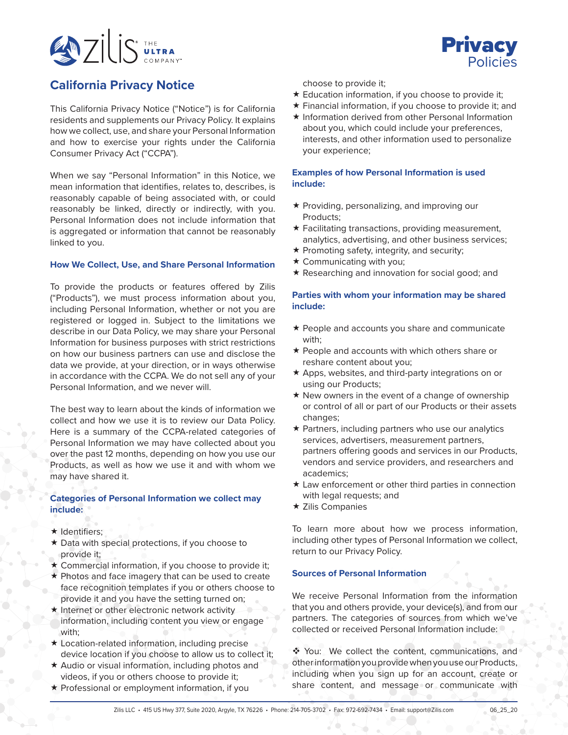



# **California Privacy Notice**

This California Privacy Notice ("Notice") is for California residents and supplements our Privacy Policy. It explains how we collect, use, and share your Personal Information and how to exercise your rights under the California Consumer Privacy Act ("CCPA").

When we say "Personal Information" in this Notice, we mean information that identifies, relates to, describes, is reasonably capable of being associated with, or could reasonably be linked, directly or indirectly, with you. Personal Information does not include information that is aggregated or information that cannot be reasonably linked to you.

## **How We Collect, Use, and Share Personal Information**

To provide the products or features offered by Zilis ("Products"), we must process information about you, including Personal Information, whether or not you are registered or logged in. Subject to the limitations we describe in our Data Policy, we may share your Personal Information for business purposes with strict restrictions on how our business partners can use and disclose the data we provide, at your direction, or in ways otherwise in accordance with the CCPA. We do not sell any of your Personal Information, and we never will.

The best way to learn about the kinds of information we collect and how we use it is to review our Data Policy. Here is a summary of the CCPA-related categories of Personal Information we may have collected about you over the past 12 months, depending on how you use our Products, as well as how we use it and with whom we may have shared it.

## **Categories of Personal Information we collect may include:**

- $\star$  Identifiers;
- Data with special protections, if you choose to provide it;
- $\star$  Commercial information, if you choose to provide it;
- \* Photos and face imagery that can be used to create face recognition templates if you or others choose to provide it and you have the setting turned on;
- $\star$  Internet or other electronic network activity information, including content you view or engage with;
- Location-related information, including precise device location if you choose to allow us to collect it;
- $\star$  Audio or visual information, including photos and videos, if you or others choose to provide it;
- $\star$  Professional or employment information, if you

choose to provide it;

- $\star$  Education information, if you choose to provide it;
- Financial information, if you choose to provide it; and
- $\star$  Information derived from other Personal Information about you, which could include your preferences, interests, and other information used to personalize your experience;

## **Examples of how Personal Information is used include:**

- $\star$  Providing, personalizing, and improving our Products;
- $\star$  Facilitating transactions, providing measurement, analytics, advertising, and other business services;
- $\star$  Promoting safety, integrity, and security;
- $\star$  Communicating with you;
- \* Researching and innovation for social good; and

## **Parties with whom your information may be shared include:**

- \* People and accounts you share and communicate with;
- $\star$  People and accounts with which others share or reshare content about you;
- $\star$  Apps, websites, and third-party integrations on or using our Products;
- $\star$  New owners in the event of a change of ownership or control of all or part of our Products or their assets changes;
- Partners, including partners who use our analytics services, advertisers, measurement partners, partners offering goods and services in our Products, vendors and service providers, and researchers and academics;
- Law enforcement or other third parties in connection with legal requests; and
- $\star$  Zilis Companies

To learn more about how we process information, including other types of Personal Information we collect, return to our Privacy Policy.

## **Sources of Personal Information**

We receive Personal Information from the information that you and others provide, your device(s), and from our partners. The categories of sources from which we've collected or received Personal Information include:

◆ You: We collect the content, communications, and other information you provide when you use our Products, including when you sign up for an account, create or share content, and message or communicate with